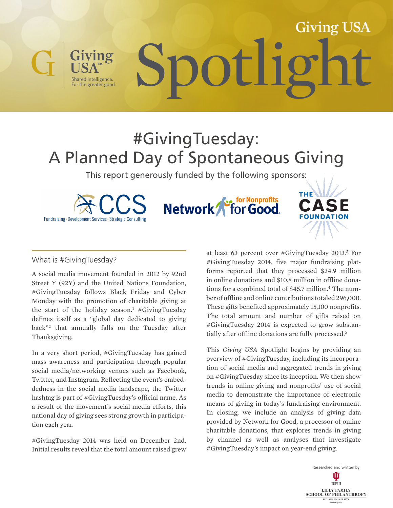# Giving USA Spotlight

# #GivingTuesday: A Planned Day of Spontaneous Giving

This report generously funded by the following sponsors:

Fundraising - Development Services - Strategic Consulting

For the greater good.

**Section Monprofits** Network<sup>1</sup>



# What is #GivingTuesday?

A social media movement founded in 2012 by 92nd Street Y (92Y) and the United Nations Foundation, #GivingTuesday follows Black Friday and Cyber Monday with the promotion of charitable giving at the start of the holiday season.<sup>1</sup> #GivingTuesday defines itself as a "global day dedicated to giving back"2 that annually falls on the Tuesday after Thanksgiving.

In a very short period, #GivingTuesday has gained mass awareness and participation through popular social media/networking venues such as Facebook, Twitter, and Instagram. Reflecting the event's embeddedness in the social media landscape, the Twitter hashtag is part of #GivingTuesday's official name. As a result of the movement's social media efforts, this national day of giving sees strong growth in participation each year.

#GivingTuesday 2014 was held on December 2nd. Initial results reveal that the total amount raised grew

at least 63 percent over #GivingTuesday 2013.<sup>3</sup> For #GivingTuesday 2014, five major fundraising platforms reported that they processed \$34.9 million in online donations and \$10.8 million in offline donations for a combined total of \$45.7 million.<sup>4</sup> The number of offline and online contributions totaled 296,000. These gifts benefited approximately 15,100 nonprofits. The total amount and number of gifts raised on #GivingTuesday 2014 is expected to grow substantially after offline donations are fully processed.5

This *Giving USA* Spotlight begins by providing an overview of #GivingTuesday, including its incorporation of social media and aggregated trends in giving on #GivingTuesday since its inception. We then show trends in online giving and nonprofits' use of social media to demonstrate the importance of electronic means of giving in today's fundraising environment. In closing, we include an analysis of giving data provided by Network for Good, a processor of online charitable donations, that explores trends in giving by channel as well as analyses that investigate #GivingTuesday's impact on year-end giving.

> Researched and written by Ш **TUPUI** LILLY FAMILY **SCHOOL OF PHILANTHROPY INDIANA UNIVERSITY**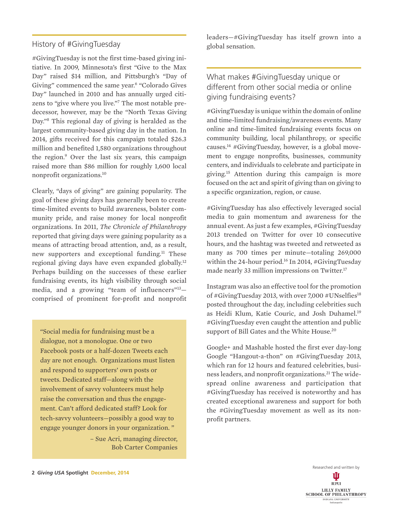# History of #GivingTuesday

#GivingTuesday is not the first time-based giving initiative. In 2009, Minnesota's first "Give to the Max Day" raised \$14 million, and Pittsburgh's "Day of Giving" commenced the same year.<sup>6</sup> "Colorado Gives Day" launched in 2010 and has annually urged citizens to "give where you live."7 The most notable predecessor, however, may be the "North Texas Giving Day."8 This regional day of giving is heralded as the largest community-based giving day in the nation. In 2014, gifts received for this campaign totaled \$26.3 million and benefited 1,580 organizations throughout the region.<sup>9</sup> Over the last six years, this campaign raised more than \$86 million for roughly 1,600 local nonprofit organizations.10

Clearly, "days of giving" are gaining popularity. The goal of these giving days has generally been to create time-limited events to build awareness, bolster community pride, and raise money for local nonprofit organizations. In 2011, *The Chronicle of Philanthropy* reported that giving days were gaining popularity as a means of attracting broad attention, and, as a result, new supporters and exceptional funding.11 These regional giving days have even expanded globally.12 Perhaps building on the successes of these earlier fundraising events, its high visibility through social media, and a growing "team of influencers"13 comprised of prominent for-profit and nonprofit

"Social media for fundraising must be a dialogue, not a monologue. One or two Facebook posts or a half-dozen Tweets each day are not enough. Organizations must listen and respond to supporters' own posts or tweets. Dedicated staff—along with the involvement of savvy volunteers must help raise the conversation and thus the engagement. Can't afford dedicated staff? Look for tech-savvy volunteers—possibly a good way to engage younger donors in your organization. "

> – Sue Acri, managing director, Bob Carter Companies

leaders—#GivingTuesday has itself grown into a global sensation.

What makes #GivingTuesday unique or different from other social media or online giving fundraising events?

#GivingTuesday is unique within the domain of online and time-limited fundraising/awareness events. Many online and time-limited fundraising events focus on community building, local philanthropy, or specific causes.<sup>14</sup> #GivingTuesday, however, is a global movement to engage nonprofits, businesses, community centers, and individuals to celebrate and participate in giving.15 Attention during this campaign is more focused on the act and spirit of giving than on giving to a specific organization, region, or cause.

#GivingTuesday has also effectively leveraged social media to gain momentum and awareness for the annual event. As just a few examples, #GivingTuesday 2013 trended on Twitter for over 10 consecutive hours, and the hashtag was tweeted and retweeted as many as 700 times per minute—totaling 269,000 within the 24-hour period.16 In 2014, #GivingTuesday made nearly 33 million impressions on Twitter.<sup>17</sup>

Instagram was also an effective tool for the promotion of #GivingTuesday 2013, with over 7,000 #UNselfies<sup>18</sup> posted throughout the day, including celebrities such as Heidi Klum, Katie Couric, and Josh Duhamel.<sup>19</sup> #GivingTuesday even caught the attention and public support of Bill Gates and the White House.<sup>20</sup>

Google+ and Mashable hosted the first ever day-long Google "Hangout-a-thon" on #GivingTuesday 2013, which ran for 12 hours and featured celebrities, business leaders, and nonprofit organizations.<sup>21</sup> The widespread online awareness and participation that #GivingTuesday has received is noteworthy and has created exceptional awareness and support for both the #GivingTuesday movement as well as its nonprofit partners.

> Researched and written by Ů **TUPUI**

LILLY FAMILY<br>SCHOOL OF PHILANTHROPY **INDIANA UNIVERSITY**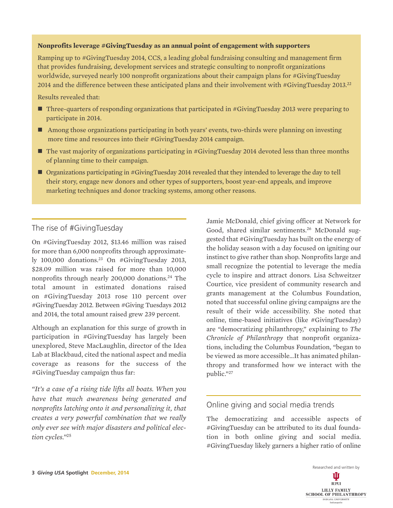#### **Nonprofits leverage #GivingTuesday as an annual point of engagement with supporters**

Ramping up to #GivingTuesday 2014, CCS, a leading global fundraising consulting and management firm that provides fundraising, development services and strategic consulting to nonprofit organizations worldwide, surveyed nearly 100 nonprofit organizations about their campaign plans for #GivingTuesday 2014 and the difference between these anticipated plans and their involvement with #GivingTuesday 2013.<sup>22</sup>

Results revealed that:

- Three-quarters of responding organizations that participated in #GivingTuesday 2013 were preparing to participate in 2014.
- Among those organizations participating in both years' events, two-thirds were planning on investing more time and resources into their #GivingTuesday 2014 campaign.
- The vast majority of organizations participating in #GivingTuesday 2014 devoted less than three months of planning time to their campaign.
- Organizations participating in #GivingTuesday 2014 revealed that they intended to leverage the day to tell their story, engage new donors and other types of supporters, boost year-end appeals, and improve marketing techniques and donor tracking systems, among other reasons.

# The rise of #GivingTuesday

On #GivingTuesday 2012, \$13.46 million was raised for more than 6,000 nonprofits through approximately 100,000 donations.23 On #GivingTuesday 2013, \$28.09 million was raised for more than 10,000 nonprofits through nearly 200,000 donations.24 The total amount in estimated donations raised on #GivingTuesday 2013 rose 110 percent over #GivingTuesday 2012. Between #Giving Tuesdays 2012 and 2014, the total amount raised grew 239 percent.

Although an explanation for this surge of growth in participation in #GivingTuesday has largely been unexplored, Steve MacLaughlin, director of the Idea Lab at Blackbaud, cited the national aspect and media coverage as reasons for the success of the #GivingTuesday campaign thus far:

*"It's a case of a rising tide lifts all boats. When you have that much awareness being generated and nonprofits latching onto it and personalizing it, that creates a very powerful combination that we really only ever see with major disasters and political election cycles."*<sup>25</sup>

Jamie McDonald, chief giving officer at Network for Good, shared similar sentiments.<sup>26</sup> McDonald suggested that #GivingTuesday has built on the energy of the holiday season with a day focused on igniting our instinct to give rather than shop. Nonprofits large and small recognize the potential to leverage the media cycle to inspire and attract donors. Lisa Schweitzer Courtice, vice president of community research and grants management at the Columbus Foundation, noted that successful online giving campaigns are the result of their wide accessibility. She noted that online, time-based initiatives (like #GivingTuesday) are "democratizing philanthropy," explaining to *The Chronicle of Philanthropy* that nonprofit organizations, including the Columbus Foundation, "began to be viewed as more accessible…It has animated philanthropy and transformed how we interact with the public."27

# Online giving and social media trends

The democratizing and accessible aspects of #GivingTuesday can be attributed to its dual foundation in both online giving and social media. #GivingTuesday likely garners a higher ratio of online

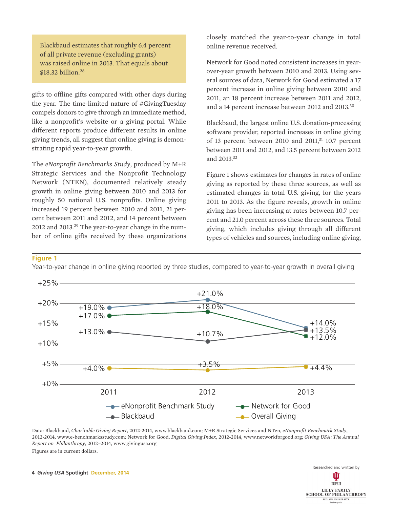Blackbaud estimates that roughly 6.4 percent of all private revenue (excluding grants) was raised online in 2013. That equals about \$18.32 billion.<sup>28</sup>

gifts to offline gifts compared with other days during the year. The time-limited nature of #GivingTuesday compels donors to give through an immediate method, like a nonprofit's website or a giving portal. While different reports produce different results in online giving trends, all suggest that online giving is demonstrating rapid year-to-year growth.

The *eNonprofit Benchmarks Study*, produced by M+R Strategic Services and the Nonprofit Technology Network (NTEN), documented relatively steady growth in online giving between 2010 and 2013 for roughly 50 national U.S. nonprofits. Online giving increased 19 percent between 2010 and 2011, 21 percent between 2011 and 2012, and 14 percent between 2012 and 2013.29 The year-to-year change in the number of online gifts received by these organizations

closely matched the year-to-year change in total online revenue received.

Network for Good noted consistent increases in yearover-year growth between 2010 and 2013. Using several sources of data, Network for Good estimated a 17 percent increase in online giving between 2010 and 2011, an 18 percent increase between 2011 and 2012, and a 14 percent increase between 2012 and 2013.<sup>30</sup>

Blackbaud, the largest online U.S. donation-processing software provider, reported increases in online giving of 13 percent between 2010 and 2011, $31$  10.7 percent between 2011 and 2012, and 13.5 percent between 2012 and 2013.32

Figure 1 shows estimates for changes in rates of online giving as reported by these three sources, as well as estimated changes in total U.S. giving, for the years 2011 to 2013. As the figure reveals, growth in online giving has been increasing at rates between 10.7 percent and 21.0 percent across these three sources. Total giving, which includes giving through all different types of vehicles and sources, including online giving,

#### **Figure 1**

Year-to-year change in online giving reported by three studies, compared to year-to-year growth in overall giving



Data: Blackbaud, *Charitable Giving Report*, 2012-2014, www.blackbaud.com; M+R Strategic Services and NTen, *eNonprofit Benchmark Study*, 2012-2014, www.e-benchmarksstudy.com; Network for Good, *Digital Giving Index*, 2012-2014, www.networkforgood.org; *Giving USA: The Annual Report on Philanthropy*, 2012–2014, www.givingusa.org Figures are in current dollars.

**4** *Giving USA* **Spotlight December, 2014**

Ŵ **TUPUI** LILLY FAMILY **SCHOOL OF PHILANTHROPY** INDIANA UNIVERSITY<br>Indianapolis

Researched and written by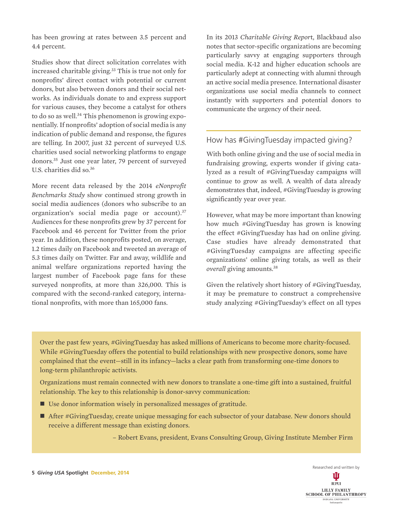has been growing at rates between 3.5 percent and 4.4 percent.

Studies show that direct solicitation correlates with increased charitable giving.<sup>33</sup> This is true not only for nonprofits' direct contact with potential or current donors, but also between donors and their social networks. As individuals donate to and express support for various causes, they become a catalyst for others to do so as well.<sup>34</sup> This phenomenon is growing exponentially. If nonprofits' adoption of social media is any indication of public demand and response, the figures are telling. In 2007, just 32 percent of surveyed U.S. charities used social networking platforms to engage donors.35 Just one year later, 79 percent of surveyed U.S. charities did so.36

More recent data released by the 2014 *eNonprofit Benchmarks Study* show continued strong growth in social media audiences (donors who subscribe to an organization's social media page or account).<sup>37</sup> Audiences for these nonprofits grew by 37 percent for Facebook and 46 percent for Twitter from the prior year. In addition, these nonprofits posted, on average, 1.2 times daily on Facebook and tweeted an average of 5.3 times daily on Twitter. Far and away, wildlife and animal welfare organizations reported having the largest number of Facebook page fans for these surveyed nonprofits, at more than 326,000. This is compared with the second-ranked category, international nonprofits, with more than 165,000 fans.

In its 2013 *Charitable Giving Repor*t, Blackbaud also notes that sector-specific organizations are becoming particularly savvy at engaging supporters through social media. K-12 and higher education schools are particularly adept at connecting with alumni through an active social media presence. International disaster organizations use social media channels to connect instantly with supporters and potential donors to communicate the urgency of their need.

# How has #GivingTuesday impacted giving?

With both online giving and the use of social media in fundraising growing, experts wonder if giving catalyzed as a result of #GivingTuesday campaigns will continue to grow as well. A wealth of data already demonstrates that, indeed, #GivingTuesday is growing significantly year over year.

However, what may be more important than knowing how much #GivingTuesday has grown is knowing the effect #GivingTuesday has had on online giving. Case studies have already demonstrated that #GivingTuesday campaigns are affecting specific organizations' online giving totals, as well as their *overall* giving amounts.38

Given the relatively short history of #GivingTuesday, it may be premature to construct a comprehensive study analyzing #GivingTuesday's effect on all types

Over the past few years, #GivingTuesday has asked millions of Americans to become more charity-focused. While #GivingTuesday offers the potential to build relationships with new prospective donors, some have complained that the event—still in its infancy—lacks a clear path from transforming one-time donors to long-term philanthropic activists.

Organizations must remain connected with new donors to translate a one-time gift into a sustained, fruitful relationship. The key to this relationship is donor-savvy communication:

- Use donor information wisely in personalized messages of gratitude.
- After #GivingTuesday, create unique messaging for each subsector of your database. New donors should receive a different message than existing donors.

– Robert Evans, president, Evans Consulting Group, Giving Institute Member Firm

Researched and written by Ŵ **TUPUI** LILLY FAMILY<br>SCHOOL OF PHILANTHROPY **INDIANA UNIVERSITY**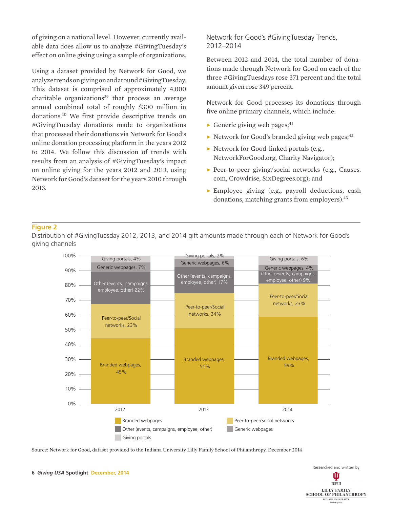of giving on a national level. However, currently available data does allow us to analyze #GivingTuesday's effect on online giving using a sample of organizations.

Using a dataset provided by Network for Good, we analyze trends on giving on and around #GivingTuesday. This dataset is comprised of approximately 4,000 charitable organizations $39$  that process an average annual combined total of roughly \$300 million in donations.40 We first provide descriptive trends on #GivingTuesday donations made to organizations that processed their donations via Network for Good's online donation processing platform in the years 2012 to 2014. We follow this discussion of trends with results from an analysis of #GivingTuesday's impact on online giving for the years 2012 and 2013, using Network for Good's dataset for the years 2010 through 2013.

# Network for Good's #GivingTuesday Trends, 2012–2014

Between 2012 and 2014, the total number of donations made through Network for Good on each of the three #GivingTuesdays rose 371 percent and the total amount given rose 349 percent.

Network for Good processes its donations through five online primary channels, which include:

- $\triangleright$  Generic giving web pages;<sup>41</sup>
- $\blacktriangleright$  Network for Good's branded giving web pages;<sup>42</sup>
- ▶ Network for Good-linked portals (e.g., NetworkForGood.org, Charity Navigator);
- ▶ Peer-to-peer giving/social networks (e.g., Causes. com, Crowdrise, SixDegrees.org); and
- ▶ Employee giving (e.g., payroll deductions, cash donations, matching grants from employers).<sup>43</sup>

#### **Figure 2**

Distribution of #GivingTuesday 2012, 2013, and 2014 gift amounts made through each of Network for Good's giving channels



Source: Network for Good, dataset provided to the Indiana University Lilly Family School of Philanthropy, December 2014

Researched and written by Ш **TUPUI** LILLY FAMILY **SCHOOL OF PHILANTHROPY INDIANA UNIVERSITY**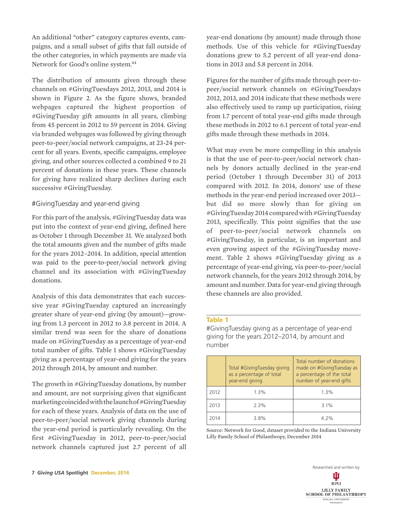An additional "other" category captures events, campaigns, and a small subset of gifts that fall outside of the other categories, in which payments are made via Network for Good's online system.<sup>44</sup>

The distribution of amounts given through these channels on #GivingTuesdays 2012, 2013, and 2014 is shown in Figure 2. As the figure shows, branded webpages captured the highest proportion of #GivingTuesday gift amounts in all years, climbing from 45 percent in 2012 to 59 percent in 2014. Giving via branded webpages was followed by giving through peer-to-peer/social network campaigns, at 23-24 percent for all years. Events, specific campaigns, employee giving, and other sources collected a combined 9 to 21 percent of donations in these years. These channels for giving have realized sharp declines during each successive #GivingTuesday.

# #GivingTuesday and year-end giving

For this part of the analysis, #GivingTuesday data was put into the context of year-end giving, defined here as October 1 through December 31. We analyzed both the total amounts given and the number of gifts made for the years 2012–2014. In addition, special attention was paid to the peer-to-peer/social network giving channel and its association with #GivingTuesday donations.

Analysis of this data demonstrates that each successive year #GivingTuesday captured an increasingly greater share of year-end giving (by amount)—growing from 1.3 percent in 2012 to 3.8 percent in 2014. A similar trend was seen for the share of donations made on #GivingTuesday as a percentage of year-end total number of gifts. Table 1 shows #GivingTuesday giving as a percentage of year-end giving for the years 2012 through 2014, by amount and number.

The growth in #GivingTuesday donations, by number and amount, are not surprising given that significant marketing coincided with the launch of #GivingTuesday for each of these years. Analysis of data on the use of peer-to-peer/social network giving channels during the year-end period is particularly revealing. On the first #GivingTuesday in 2012, peer-to-peer/social network channels captured just 2.7 percent of all

year-end donations (by amount) made through those methods. Use of this vehicle for #GivingTuesday donations grew to 5.2 percent of all year-end donations in 2013 and 5.8 percent in 2014.

Figures for the number of gifts made through peer-topeer/social network channels on #GivingTuesdays 2012, 2013, and 2014 indicate that these methods were also effectively used to ramp up participation, rising from 1.7 percent of total year-end gifts made through these methods in 2012 to 6.1 percent of total year-end gifts made through these methods in 2014.

What may even be more compelling in this analysis is that the use of peer-to-peer/social network channels by donors actually declined in the year-end period (October 1 through December 31) of 2013 compared with 2012. In 2014, donors' use of these methods in the year-end period increased over 2013 but did so more slowly than for giving on #GivingTuesday 2014 compared with #GivingTuesday 2013, specifically. This point signifies that the use of peer-to-peer/social network channels on #GivingTuesday, in particular, is an important and even growing aspect of the #GivingTuesday movement. Table 2 shows #GivingTuesday giving as a percentage of year-end giving, via peer-to-peer/social network channels, for the years 2012 through 2014, by amount and number. Data for year-end giving through these channels are also provided.

#### **Table 1**

#GivingTuesday giving as a percentage of year-end giving for the years 2012–2014, by amount and number

|      | Total #GivingTuesday giving<br>as a percentage of total<br>year-end giving | Total number of donations<br>made on #GivingTuesday as<br>a percentage of the total<br>number of year-end gifts |  |
|------|----------------------------------------------------------------------------|-----------------------------------------------------------------------------------------------------------------|--|
| 2012 | 1.3%                                                                       | 1.3%                                                                                                            |  |
| 2013 | 2.3%                                                                       | 3.1%                                                                                                            |  |
| 2014 | 3.8%                                                                       | $4.2\%$                                                                                                         |  |

Source: Network for Good, dataset provided to the Indiana University Lilly Family School of Philanthropy, December 2014

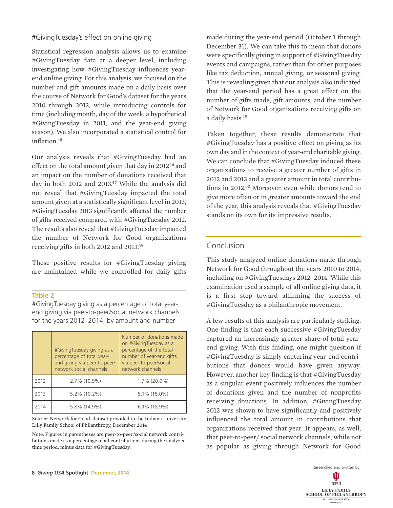## #GivingTuesday's effect on online giving

Statistical regression analysis allows us to examine #GivingTuesday data at a deeper level, including investigating how #GivingTuesday influences yearend online giving. For this analysis, we focused on the number and gift amounts made on a daily basis over the course of Network for Good's dataset for the years 2010 through 2013, while introducing controls for time (including month, day of the week, a hypothetical #GivingTuesday in 2011, and the year-end giving season). We also incorporated a statistical control for inflation.45

Our analysis reveals that #GivingTuesday had an effect on the total amount given that day in 2012<sup>46</sup> and an impact on the number of donations received that day in both 2012 and 2013.<sup>47</sup> While the analysis did not reveal that #GivingTuesday impacted the total amount given at a statistically significant level in 2013, #GivingTuesday 2013 significantly affected the number of gifts received compared with #GivingTuesday 2012. The results also reveal that #GivingTuesday impacted the number of Network for Good organizations receiving gifts in both 2012 and 2013.48

These positive results for #GivingTuesday giving are maintained while we controlled for daily gifts

#### **Table 2**

#GivingTuesday giving as a percentage of total yearend giving via peer-to-peer/social network channels for the years 2012–2014, by amount and number

|      | #GivingTuesday giving as a<br>percentage of total year-<br>end giving via peer-to-peer/<br>network social channels | Number of donations made<br>on #GivingTuesday as a<br>percentage of the total<br>number of year-end gifts<br>via peer-to-peer/social<br>network channels |  |
|------|--------------------------------------------------------------------------------------------------------------------|----------------------------------------------------------------------------------------------------------------------------------------------------------|--|
| 2012 | 2.7% (10.5%)                                                                                                       | 1.7% (20.0%)                                                                                                                                             |  |
| 2013 | 5.2% (10.2%)                                                                                                       | 5.1% (18.0%)                                                                                                                                             |  |
| 2014 | 5.8% (14.9%)                                                                                                       | $6.1\%$ (18.9%)                                                                                                                                          |  |

Source: Network for Good, dataset provided to the Indiana University Lilly Family School of Philanthropy, December 2014

Note: Figures in parentheses are peer-to-peer/social network contributions made as a percentage of all contributions during the analyzed time period, minus data for #GivingTuesday.

made during the year-end period (October 1 through December 31). We can take this to mean that donors were specifically giving in support of #GivingTuesday events and campaigns, rather than for other purposes like tax deduction, annual giving, or seasonal giving. This is revealing given that our analysis also indicated that the year-end period has a great effect on the number of gifts made, gift amounts, and the number of Network for Good organizations receiving gifts on a daily basis.<sup>49</sup>

Taken together, these results demonstrate that #GivingTuesday has a positive effect on giving as its own day and in the context of year-end charitable giving. We can conclude that #GivingTuesday induced these organizations to receive a greater number of gifts in 2012 and 2013 and a greater amount in total contributions in 2012.<sup>50</sup> Moreover, even while donors tend to give more often or in greater amounts toward the end of the year, this analysis reveals that #GivingTuesday stands on its own for its impressive results.

# Conclusion

This study analyzed online donations made through Network for Good throughout the years 2010 to 2014, including on #GivingTuesdays 2012–2014. While this examination used a sample of all online giving data, it is a first step toward affirming the success of #GivingTuesday as a philanthropic movement.

A few results of this analysis are particularly striking. One finding is that each successive #GivingTuesday captured an increasingly greater share of total yearend giving. With this finding, one might question if #GivingTuesday is simply capturing year-end contributions that donors would have given anyway. However, another key finding is that #GivingTuesday as a singular event positively influences the number of donations given and the number of nonprofits receiving donations. In addition, #GivingTuesday 2012 was shown to have significantly and positively influenced the total amount in contributions that organizations received that year. It appears, as well, that peer-to-peer/ social network channels, while not as popular as giving through Network for Good

> Researched and written by Ŵ **TUPUI** LILLY FAMILY **SCHOOL OF PHILANTHROPY** INDIANA UNIVERSITY<br>Indianapolis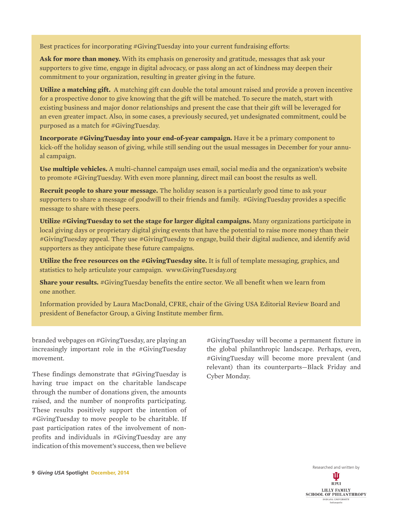Best practices for incorporating #GivingTuesday into your current fundraising efforts:

**Ask for more than money.** With its emphasis on generosity and gratitude, messages that ask your supporters to give time, engage in digital advocacy, or pass along an act of kindness may deepen their commitment to your organization, resulting in greater giving in the future.

**Utilize a matching gift.** A matching gift can double the total amount raised and provide a proven incentive for a prospective donor to give knowing that the gift will be matched. To secure the match, start with existing business and major donor relationships and present the case that their gift will be leveraged for an even greater impact. Also, in some cases, a previously secured, yet undesignated commitment, could be purposed as a match for #GivingTuesday.

**Incorporate #GivingTuesday into your end-of-year campaign.** Have it be a primary component to kick-off the holiday season of giving, while still sending out the usual messages in December for your annual campaign.

**Use multiple vehicles.** A multi-channel campaign uses email, social media and the organization's website to promote #GivingTuesday. With even more planning, direct mail can boost the results as well.

**Recruit people to share your message.** The holiday season is a particularly good time to ask your supporters to share a message of goodwill to their friends and family. #GivingTuesday provides a specific message to share with these peers.

**Utilize #GivingTuesday to set the stage for larger digital campaigns.** Many organizations participate in local giving days or proprietary digital giving events that have the potential to raise more money than their #GivingTuesday appeal. They use #GivingTuesday to engage, build their digital audience, and identify avid supporters as they anticipate these future campaigns.

**Utilize the free resources on the #GivingTuesday site.** It is full of template messaging, graphics, and statistics to help articulate your campaign. www.GivingTuesday.org

**Share your results.** #GivingTuesday benefits the entire sector. We all benefit when we learn from one another.

Information provided by Laura MacDonald, CFRE, chair of the Giving USA Editorial Review Board and president of Benefactor Group, a Giving Institute member firm.

branded webpages on #GivingTuesday, are playing an increasingly important role in the #GivingTuesday movement.

These findings demonstrate that #GivingTuesday is having true impact on the charitable landscape through the number of donations given, the amounts raised, and the number of nonprofits participating. These results positively support the intention of #GivingTuesday to move people to be charitable. If past participation rates of the involvement of nonprofits and individuals in #GivingTuesday are any indication of this movement's success, then we believe

#GivingTuesday will become a permanent fixture in the global philanthropic landscape. Perhaps, even, #GivingTuesday will become more prevalent (and relevant) than its counterparts—Black Friday and Cyber Monday.

Researched and written by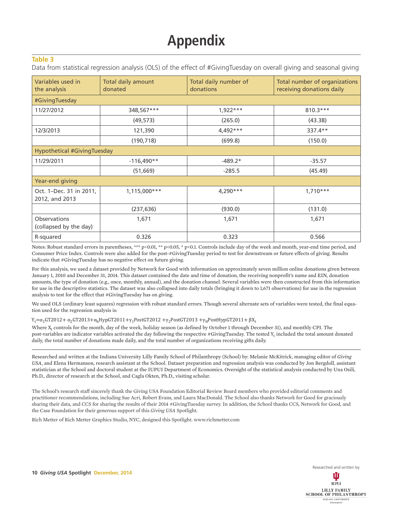# **Appendix**

#### **Table 3**

Data from statistical regression analysis (OLS) of the effect of #GivingTuesday on overall giving and seasonal giving

| Variables used in<br>the analysis             | Total daily amount<br>donated | Total daily number of<br>donations | Total number of organizations<br>receiving donations daily |  |  |  |
|-----------------------------------------------|-------------------------------|------------------------------------|------------------------------------------------------------|--|--|--|
| #GivingTuesday                                |                               |                                    |                                                            |  |  |  |
| 11/27/2012                                    | 348,567***                    | $1.922***$                         | $810.3***$                                                 |  |  |  |
|                                               | (49, 573)                     | (265.0)                            | (43.38)                                                    |  |  |  |
| 12/3/2013                                     | 121,390                       | $4,492***$                         | 337.4**                                                    |  |  |  |
|                                               | (190, 718)                    | (699.8)                            | (150.0)                                                    |  |  |  |
| <b>Hypothetical #GivingTuesday</b>            |                               |                                    |                                                            |  |  |  |
| 11/29/2011                                    | $-116,490**$                  | $-489.2*$                          | $-35.57$                                                   |  |  |  |
|                                               | (51, 669)                     | $-285.5$                           | (45.49)                                                    |  |  |  |
| Year-end giving                               |                               |                                    |                                                            |  |  |  |
| Oct. 1-Dec. 31 in 2011,<br>2012, and 2013     | 1,115,000***                  | $4,290***$                         | $1,710***$                                                 |  |  |  |
|                                               | (237, 636)                    | (930.0)                            | (131.0)                                                    |  |  |  |
| <b>Observations</b><br>(collapsed by the day) | 1,671                         | 1,671                              | 1,671                                                      |  |  |  |
| R-squared                                     | 0.326                         | 0.323                              | 0.566                                                      |  |  |  |

Notes: Robust standard errors in parentheses, \*\*\* p<0.01, \*\* p<0.05, \* p<0.1. Controls include day of the week and month, year-end time period, and Consumer Price Index. Controls were also added for the post-#GivingTuesday period to test for downstream or future effects of giving. Results indicate that #GivingTuesday has no negative effect on future giving.

For this analysis, we used a dataset provided by Network for Good with information on approximately seven million online donations given between January 1, 2010 and December 31, 2014. This dataset contained the date and time of donation, the receiving nonprofit's name and EIN, donation amounts, the type of donation (e.g., once, monthly, annual), and the donation channel. Several variables were then constructed from this information for use in the descriptive statistics. The dataset was also collapsed into daily totals (bringing it down to 1,671 observations) for use in the regression analysis to test for the effect that #GivingTuesday has on giving.

We used OLS (ordinary least squares) regression with robust standard errors. Though several alternate sets of variables were tested, the final equation used for the regression analysis is:

 $Y_t = \alpha_1$ GT2012+  $\alpha_2$ GT2013+ $\alpha$ <sub>h</sub>HypGT2011+γ<sub>1</sub>PostGT2012 +γ<sub>2</sub>PostGT2013 +γ<sub>H</sub>PostHypGT2011+ βX<sub>t</sub>

Where X<sub>t</sub> controls for the month, day of the week, holiday season (as defined by October 1 through December 31), and monthly CPI. The post-variables are indicator variables activated the day following the respective #GivingTuesday. The tested  $Y_t$  included the total amount donated daily, the total number of donations made daily, and the total number of organizations receiving gifts daily.

Researched and written at the Indiana University Lilly Family School of Philanthropy (School) by: Melanie McKitrick, managing editor of *Giving USA*, and Elena Hermanson, research assistant at the School. Dataset preparation and regression analysis was conducted by Jon Bergdoll, assistant statistician at the School and doctoral student at the IUPUI Department of Economics. Oversight of the statistical analysis conducted by Una Osili, Ph.D., director of research at the School, and Cagla Okten, Ph.D., visiting scholar.

The School's research staff sincerely thank the Giving USA Foundation Editorial Review Board members who provided editorial comments and practitioner recommendations, including Sue Acri, Robert Evans, and Laura MacDonald. The School also thanks Network for Good for graciously sharing their data, and CCS for sharing the results of their 2014 #GivingTuesday survey. In addition, the School thanks CCS, Network for Good, and the Case Foundation for their generous support of this *Giving USA* Spotlight.

Rich Metter of Rich Metter Graphics Studio, NYC, designed this Spotlight. www.richmetter.com

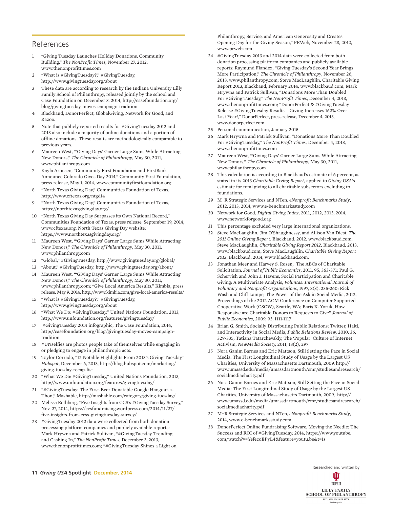## References

- 1 "Giving Tuesday Launches Holiday Donations, Community Building," *The NonProfit Times*, November 27, 2012, www.thenonprofittimes.com
- 2 "What is #GivingTuesday?," #GivingTuesday, http://www.givingtuesday.org/about
- 3 These data are according to research by the Indiana University Lilly Family School of Philanthropy, released jointly by the school and Case Foundation on December 3, 2014, http://casefoundation.org/ blog/givingtuesday-moves-campaign-tradition
- 4 Blackbaud, DonorPerfect, GlobalGiving, Network for Good, and Razoo.
- 5 Note that publicly reported results for #GivingTuesday 2012 and 2013 also include a majority of online donations and a portion of offline donations. These results are methodologically comparable to previous years.
- 6 Maureen West, "'Giving Days' Garner Large Sums While Attracting New Donors," *The Chronicle of Philanthropy*, May 30, 2011, www.philanthropy.com
- 7 Kayla Arnesen, "Community First Foundation and FirstBank Announce Colorado Gives Day 2014," Community First Foundation, press release, May 1, 2014, www.communityfirstfoundation.org
- 8 "North Texas Giving Day," Communities Foundation of Texas, http://www.cftexas.org/ntgd14
- 9 "North Texas Giving Day," Communities Foundation of Texas, https://northtexasgivingday.org/
- 10 "North Texas Giving Day Surpasses its Own National Record," Communities Foundation of Texas, press release, September 19, 2014, www.cftexas.org; North Texas Giving Day website: https://www.northtexasgivingday.org/
- 11 Maureen West, "'Giving Days' Garner Large Sums While Attracting New Donors," *The Chronicle of Philanthropy*, May 30, 2011, www.philanthropy.com
- 12 "Global," #GivingTuesday, http://www.givingtuesday.org/global/
- 13 "About," #GivingTuesday, http://www.givingtuesday.org/about/
- 14 Maureen West, "'Giving Days' Garner Large Sums While Attracting New Donors," *The Chronicle of Philanthropy*, May 30, 2011, www.philanthropy.com; "Give Local America Results," Kimbia, press release, May 9, 2014, http://www.kimbia.com/give-local-america-results/
- 15 "What is #GivingTuesday?," #GivingTuesday, http://www.givingtuesday.org/about
- 16 "What We Do: #GivingTuesday," United Nations Foundation, 2013, http://www.unfoundation.org/features/givingtuesday/
- 17 #GivingTuesday 2014 infographic, The Case Foundation, 2014, http://casefoundation.org/blog/givingtuesday-moves-campaigntradition
- 18 #UNselfies are photos people take of themselves while engaging in or pledging to engage in philanthropic acts.
- 19 Taylor Corrado, "12 Notable Highlights From 2013's Giving Tuesday," *Hubspot*, December 6, 2013, http://blog.hubspot.com/marketing/ giving-tuesday-recap-list
- 20 "What We Do: #GivingTuesday," United Nations Foundation, 2013, http://www.unfoundation.org/features/givingtuesday/
- 21 "#GivingTuesday: The First-Ever Donatable Google Hangout-a-Thon," Mashable, http://mashable.com/category/giving-tuesday/
- 22 Melissa Rothberg, "Five Insights from CCS's #GivingTuesday Survey," Nov. 27, 2014, https://ccsfundraising.wordpress.com/2014/11/27/ five-insights-from-ccss-givingtuesday-survey/
- 23 #GivingTuesday 2012 data were collected from both donation processing platform companies and publicly available reports: Mark Hrywna and Patrick Sullivan, "#GivingTuesday Trending and Cashing In," *The NonProfit Times*, December 3, 2013, www.thenonprofittimes.com; "#GivingTuesday Shines a Light on

Philanthropy, Service, and American Generosity and Creates Opening Day for the Giving Season," PRWeb, November 28, 2012, www.prweb.com

- 24 #GivingTuesday 2013 and 2014 data were collected from both donation processing platform companies and publicly available reports: Raymund Flandez, "Giving Tuesday's Second Year Brings More Participation," *The Chronicle of Philanthropy*, November 26, 2013, www.philanthropy.com; Steve MacLaughlin, Charitable Giving Report 2013, Blackbaud, February 2014, www.blackbaud.com; Mark Hrywna and Patrick Sullivan, "Donations More Than Doubled For #Giving Tuesday," *The NonProfit Times*, December 4, 2013, www.thenonprofittimes.com; "DonorPerfect & #GivingTuesday Release #GivingTuesday Results— Giving Increases 162% Over Last Year!," DonorPerfect, press release, December 4, 2013, www.donorperfect.com
- 25 Personal communication, January 2015
- 26 Mark Hrywna and Patrick Sullivan, "Donations More Than Doubled For #GivingTuesday," *The NonProfit Times*, December 4, 2013, www.thenonprofittimes.com
- 27 Maureen West, "'Giving Days' Garner Large Sums While Attracting New Donors," *The Chronicle of Philanthropy*, May 30, 2011, www.philanthropy.com
- 28 This calculation is according to Blackbaud's estimate of 6 percent, as stated in its 2013 *Charitable Giving Report*, applied to *Giving USA*'s estimate for total giving to all charitable subsectors excluding to foundations.
- 29 M+R Strategic Services and NTen, *eNonprofit Benchmarks Study*, 2012, 2013, 2014, www.e-benchmarksstudy.com
- 30 Network for Good, *Digital Giving Index*, 2011, 2012, 2013, 2014, www.networkforgood.org
- 31 This percentage excluded very large international organizations.
- 32 Steve MacLaughlin, Jim O'Shaughnessy, and Allison Van Diest, *The 2011 Online Giving Report*, Blackbaud, 2012, www.blackbaud.com; Steve MacLaughlin, *Charitable Giving Report 2012*, Blackbaud, 2013, www.blackbaud.com; Steve MacLaughlin, *Charitable Giving Report 2013*, Blackbaud, 2014, www.blackbaud.com.
- 33 Jonathan Meer and Harvey S. Rosen, The ABCs of Charitable Solicitation, *Journal of Public Economics*, 2011, 95, 363-371; Paul G. Schervish and John J. Havens, Social Participation and Charitable Giving: A Multivariate Analysis, *Voluntas: International Journal of Voluntary and Nonprofit Organizations*, 1997, 8(3), 235-260; Rick Wash and Cliff Lampe, The Power of the Ask in Social Media, 2012, Proceedings of the 2012 ACM Conference on Computer Supported Cooperative Work (CSCW), Seattle, WA; Bariş K. Yoruk, How Responsive are Charitable Donors to Requests to Give? *Journal of Public Economics*, 2009, 93, 1111-1117
- 34 Brian G. Smith, Socially Distributing Public Relations: Twitter, Haiti, and Interactivity in Social Media, *Public Relations Review,* 2010, 36, 329-335; Tatiana Tatarchevskiy, The 'Popular' Culture of Internet Activism, *NewMedia Society,* 2011, 13(2), 297
- 35 Nora Ganim Barnes and Eric Mattson, Still Setting the Pace in Social Media: The First Longitudinal Study of Usage by the Largest US Charities, University of Massachusetts Dartmouth, 2009, http:// www.umassd.edu/media/umassdartmouth/cmr/studiesandresearch/ socialmediacharity.pdf
- 36 Nora Ganim Barnes and Eric Mattson, Still Setting the Pace in Social Media: The First Longitudinal Study of Usage by the Largest US Charities, University of Massachusetts Dartmouth, 2009, http:// www.umassd.edu/media/umassdartmouth/cmr/studiesandresearch/ socialmediacharity.pdf
- 37 M+R Strategic Services and NTen, *eNonprofit Benchmarks Study*, 2014, www.e-benchmarksstudy.com
- 38 DonorPerfect Online Fundraising Software, Moving the Needle: The Success and ROI of #GivingTuesday, 2014, https://www.youtube. com/watch?v=YefecoEPyL4&feature=youtu.be&t=1s

Researched and written by

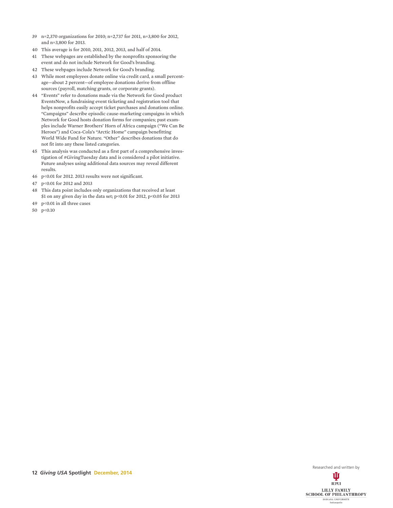- 39 n=2,370 organizations for 2010; n=2,737 for 2011, n=3,800 for 2012, and n=3,800 for 2013.
- 40 This average is for 2010, 2011, 2012, 2013, and half of 2014.
- 41 These webpages are established by the nonprofits sponsoring the event and do not include Network for Good's branding.
- 42 These webpages include Network for Good's branding.
- 43 While most employees donate online via credit card, a small percentage—about 2 percent—of employee donations derive from offline sources (payroll, matching grants, or corporate grants).
- 44 "Events" refer to donations made via the Network for Good product EventsNow, a fundraising event ticketing and registration tool that helps nonprofits easily accept ticket purchases and donations online. "Campaigns" describe episodic cause-marketing campaigns in which Network for Good hosts donation forms for companies; past examples include Warner Brothers' Horn of Africa campaign ("We Can Be Heroes") and Coca-Cola's "Arctic Home" campaign benefitting World Wide Fund for Nature. "Other" describes donations that do not fit into any these listed categories.
- 45 This analysis was conducted as a first part of a comprehensive investigation of #GivingTuesday data and is considered a pilot initiative. Future analyses using additional data sources may reveal different results.
- 46 p<0.01 for 2012. 2013 results were not significant.
- 47 p<0.01 for 2012 and 2013
- 48 This data point includes only organizations that received at least \$1 on any given day in the data set; p<0.01 for 2012, p<0.05 for 2013
- 49 p<0.01 in all three cases
- 50 p<0.10